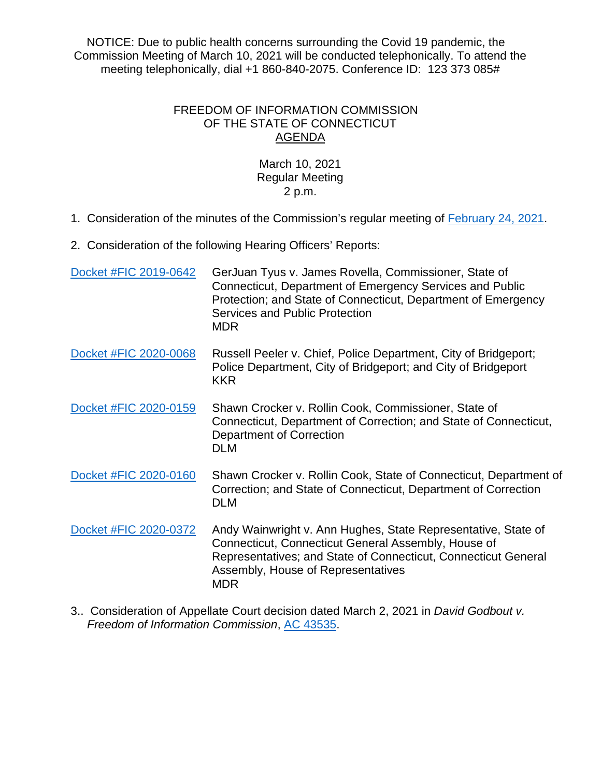NOTICE: Due to public health concerns surrounding the Covid 19 pandemic, the Commission Meeting of March 10, 2021 will be conducted telephonically. To attend the meeting telephonically, dial +1 860-840-2075. Conference ID: 123 373 085#

## FREEDOM OF INFORMATION COMMISSION OF THE STATE OF CONNECTICUT AGENDA

## March 10, 2021 Regular Meeting 2 p.m.

1. Consideration of the minutes of the Commission's regular meeting of [February 24, 2021.](https://portal.ct.gov/-/media/FOI/Minutes/2021/Minutes-2-24-2021b.pdf)

2. Consideration of the following Hearing Officers' Reports:

| Docket #FIC 2019-0642 | GerJuan Tyus v. James Rovella, Commissioner, State of<br>Connecticut, Department of Emergency Services and Public<br>Protection; and State of Connecticut, Department of Emergency<br>Services and Public Protection<br><b>MDR</b>         |
|-----------------------|--------------------------------------------------------------------------------------------------------------------------------------------------------------------------------------------------------------------------------------------|
| Docket #FIC 2020-0068 | Russell Peeler v. Chief, Police Department, City of Bridgeport;<br>Police Department, City of Bridgeport; and City of Bridgeport<br><b>KKR</b>                                                                                             |
| Docket #FIC 2020-0159 | Shawn Crocker v. Rollin Cook, Commissioner, State of<br>Connecticut, Department of Correction; and State of Connecticut,<br>Department of Correction<br><b>DLM</b>                                                                         |
| Docket #FIC 2020-0160 | Shawn Crocker v. Rollin Cook, State of Connecticut, Department of<br>Correction; and State of Connecticut, Department of Correction<br><b>DLM</b>                                                                                          |
| Docket #FIC 2020-0372 | Andy Wainwright v. Ann Hughes, State Representative, State of<br>Connecticut, Connecticut General Assembly, House of<br>Representatives; and State of Connecticut, Connecticut General<br>Assembly, House of Representatives<br><b>MDR</b> |

3.. Consideration of Appellate Court decision dated March 2, 2021 in *David Godbout v. Freedom of Information Commission*, [AC 43535.](https://www.jud.ct.gov/external/supapp/Cases/AROap/AP202/202MD5.pdf)